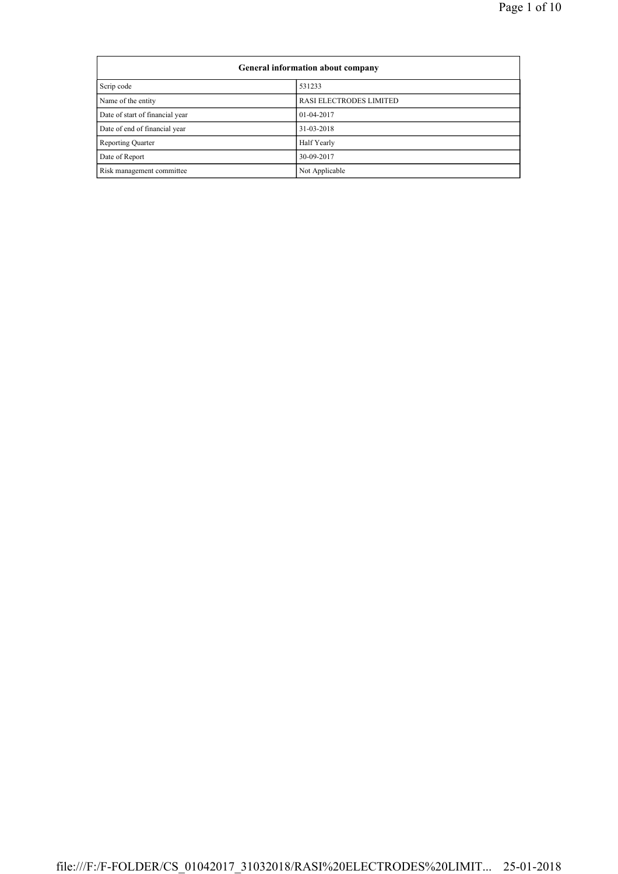| General information about company |                         |
|-----------------------------------|-------------------------|
| Scrip code<br>531233              |                         |
| Name of the entity                | RASI ELECTRODES LIMITED |
| Date of start of financial year   | 01-04-2017              |
| Date of end of financial year     | 31-03-2018              |
| <b>Reporting Quarter</b>          | Half Yearly             |
| Date of Report                    | 30-09-2017              |
| Risk management committee         | Not Applicable          |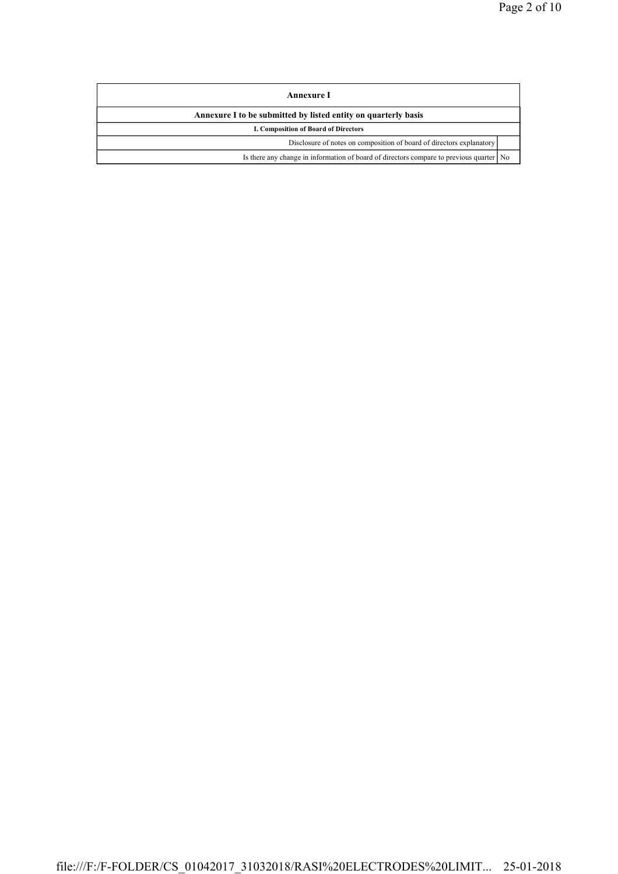| Annexure I                                                                                |  |  |
|-------------------------------------------------------------------------------------------|--|--|
| Annexure I to be submitted by listed entity on quarterly basis                            |  |  |
| I. Composition of Board of Directors                                                      |  |  |
| Disclosure of notes on composition of board of directors explanatory                      |  |  |
| Is there any change in information of board of directors compare to previous quarter   No |  |  |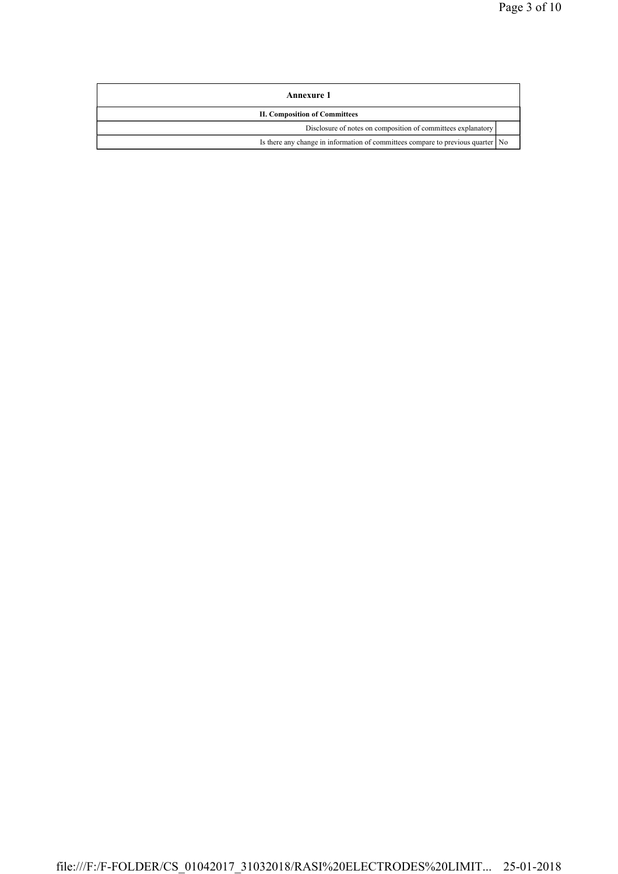| Annexure 1                                                                      |  |  |
|---------------------------------------------------------------------------------|--|--|
| <b>II. Composition of Committees</b>                                            |  |  |
| Disclosure of notes on composition of committees explanatory                    |  |  |
| Is there any change in information of committees compare to previous quarter No |  |  |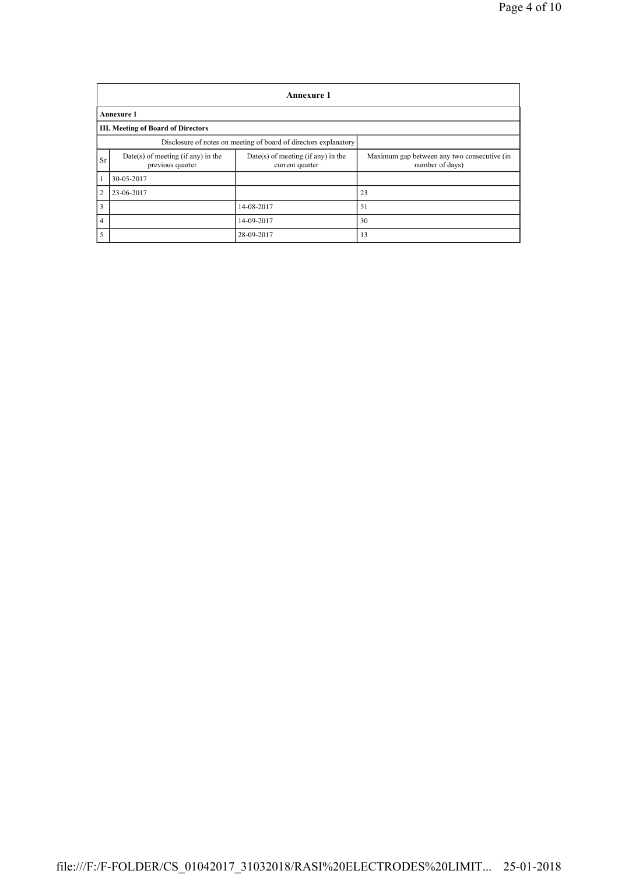|                | <b>Annexure 1</b>                                                |                                                       |                                                                |  |  |
|----------------|------------------------------------------------------------------|-------------------------------------------------------|----------------------------------------------------------------|--|--|
|                | Annexure 1                                                       |                                                       |                                                                |  |  |
|                | <b>III. Meeting of Board of Directors</b>                        |                                                       |                                                                |  |  |
|                | Disclosure of notes on meeting of board of directors explanatory |                                                       |                                                                |  |  |
| <b>Sr</b>      | $Date(s)$ of meeting (if any) in the<br>previous quarter         | Date(s) of meeting (if any) in the<br>current quarter | Maximum gap between any two consecutive (in<br>number of days) |  |  |
| $\mathbf{1}$   | 30-05-2017                                                       |                                                       |                                                                |  |  |
| $\overline{2}$ | 23-06-2017                                                       |                                                       | 23                                                             |  |  |
| $\overline{3}$ |                                                                  | 14-08-2017                                            | 51                                                             |  |  |
| $\overline{4}$ |                                                                  | 14-09-2017                                            | 30                                                             |  |  |
| 5              |                                                                  | 28-09-2017                                            | 13                                                             |  |  |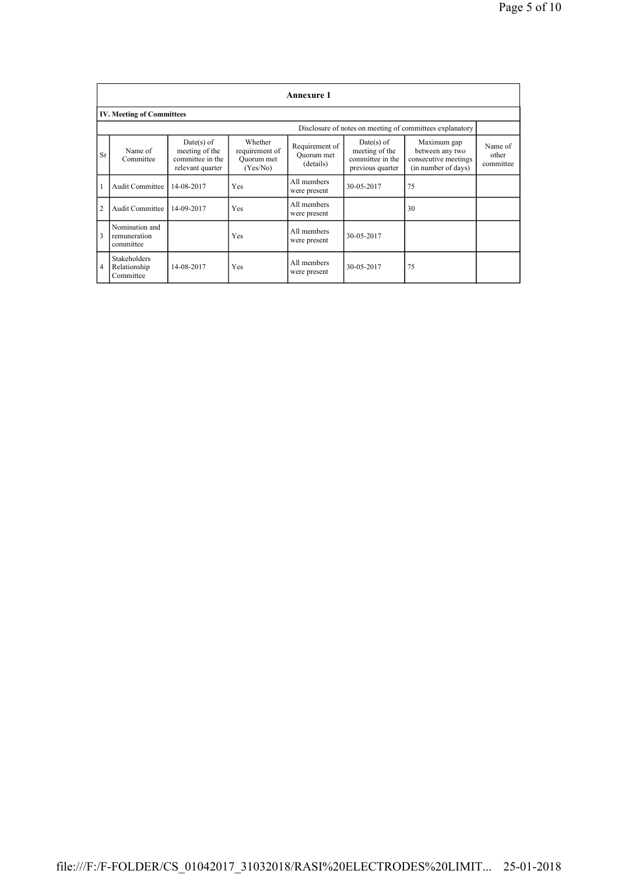|                | <b>Annexure 1</b>                           |                                                                      |                                                     |                                           |                                                                      |                                                                               |                               |
|----------------|---------------------------------------------|----------------------------------------------------------------------|-----------------------------------------------------|-------------------------------------------|----------------------------------------------------------------------|-------------------------------------------------------------------------------|-------------------------------|
|                | <b>IV. Meeting of Committees</b>            |                                                                      |                                                     |                                           |                                                                      |                                                                               |                               |
|                |                                             |                                                                      |                                                     |                                           |                                                                      | Disclosure of notes on meeting of committees explanatory                      |                               |
| <b>Sr</b>      | Name of<br>Committee                        | Date(s) of<br>meeting of the<br>committee in the<br>relevant quarter | Whether<br>requirement of<br>Ouorum met<br>(Yes/No) | Requirement of<br>Quorum met<br>(details) | Date(s) of<br>meeting of the<br>committee in the<br>previous quarter | Maximum gap<br>between any two<br>consecutive meetings<br>(in number of days) | Name of<br>other<br>committee |
|                | <b>Audit Committee</b>                      | 14-08-2017                                                           | Yes                                                 | All members<br>were present               | 30-05-2017                                                           | 75                                                                            |                               |
| $\overline{2}$ | <b>Audit Committee</b>                      | 14-09-2017                                                           | Yes                                                 | All members<br>were present               |                                                                      | 30                                                                            |                               |
| $\overline{3}$ | Nomination and<br>remuneration<br>committee |                                                                      | Yes                                                 | All members<br>were present               | 30-05-2017                                                           |                                                                               |                               |
| 4              | Stakeholders<br>Relationship<br>Committee   | 14-08-2017                                                           | Yes                                                 | All members<br>were present               | 30-05-2017                                                           | 75                                                                            |                               |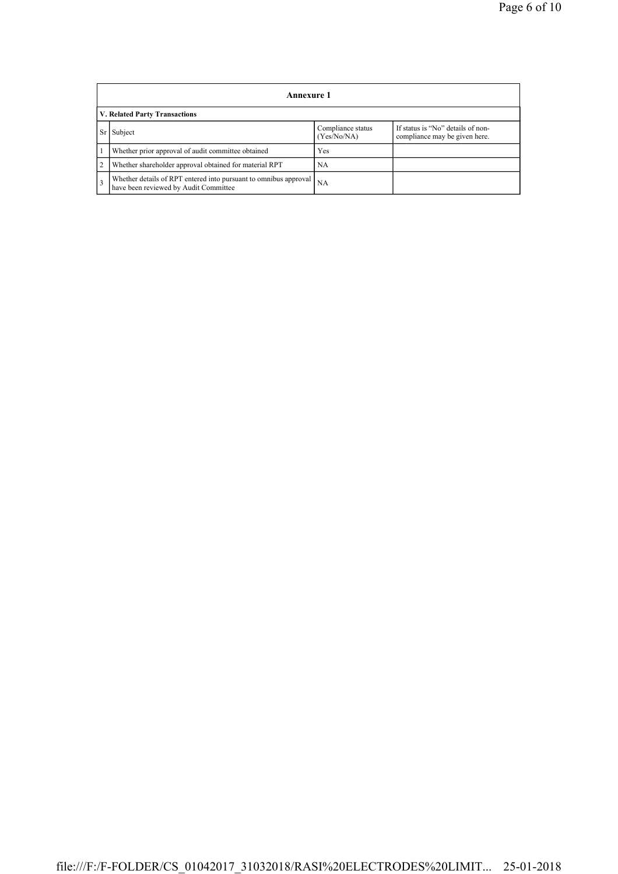|                | Annexure 1                                                                                                |                                  |                                                                    |  |  |
|----------------|-----------------------------------------------------------------------------------------------------------|----------------------------------|--------------------------------------------------------------------|--|--|
|                | V. Related Party Transactions                                                                             |                                  |                                                                    |  |  |
| Sr I           | Subject                                                                                                   | Compliance status<br>(Yes/No/NA) | If status is "No" details of non-<br>compliance may be given here. |  |  |
|                | Whether prior approval of audit committee obtained                                                        | Yes                              |                                                                    |  |  |
| $\overline{2}$ | Whether shareholder approval obtained for material RPT                                                    | NA                               |                                                                    |  |  |
| $\overline{3}$ | Whether details of RPT entered into pursuant to omnibus approval<br>have been reviewed by Audit Committee | NA                               |                                                                    |  |  |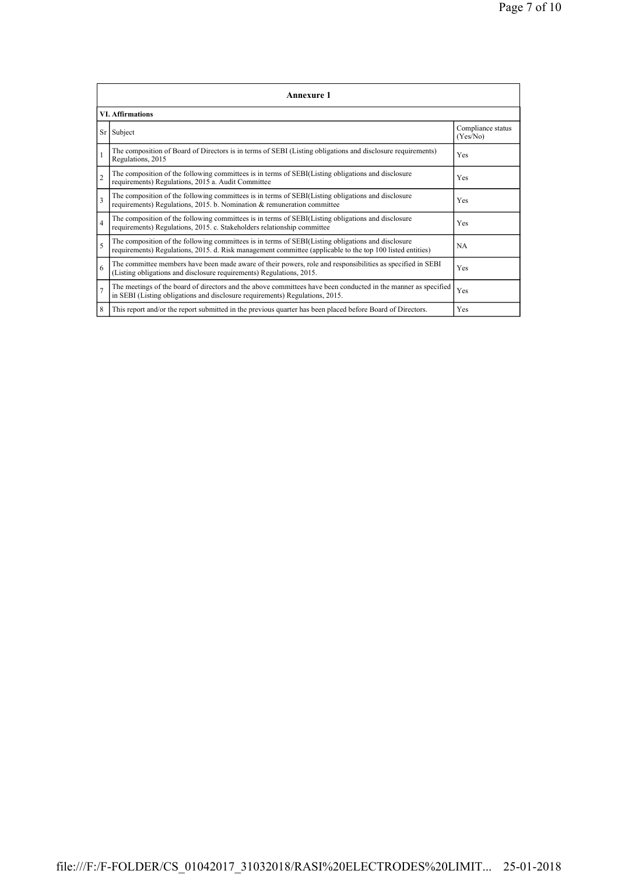|                         | <b>Annexure 1</b>                                                                                                                                                                                               |                               |  |  |  |
|-------------------------|-----------------------------------------------------------------------------------------------------------------------------------------------------------------------------------------------------------------|-------------------------------|--|--|--|
|                         | <b>VI.</b> Affirmations                                                                                                                                                                                         |                               |  |  |  |
| Sr                      | Subject                                                                                                                                                                                                         | Compliance status<br>(Yes/No) |  |  |  |
| 1                       | The composition of Board of Directors is in terms of SEBI (Listing obligations and disclosure requirements)<br>Regulations, 2015                                                                                | Yes                           |  |  |  |
| $\overline{2}$          | The composition of the following committees is in terms of SEBI(Listing obligations and disclosure<br>requirements) Regulations, 2015 a. Audit Committee                                                        | Yes                           |  |  |  |
| $\overline{\mathbf{3}}$ | The composition of the following committees is in terms of SEBI(Listing obligations and disclosure<br>requirements) Regulations, 2015. b. Nomination & remuneration committee                                   | Yes                           |  |  |  |
| $\overline{4}$          | The composition of the following committees is in terms of SEBI(Listing obligations and disclosure<br>requirements) Regulations, 2015. c. Stakeholders relationship committee                                   | Yes                           |  |  |  |
| 5                       | The composition of the following committees is in terms of SEBI(Listing obligations and disclosure<br>requirements) Regulations, 2015. d. Risk management committee (applicable to the top 100 listed entities) | <b>NA</b>                     |  |  |  |
| 6                       | The committee members have been made aware of their powers, role and responsibilities as specified in SEBI<br>(Listing obligations and disclosure requirements) Regulations, 2015.                              | Yes                           |  |  |  |
| $\overline{7}$          | The meetings of the board of directors and the above committees have been conducted in the manner as specified<br>in SEBI (Listing obligations and disclosure requirements) Regulations, 2015.                  | Yes                           |  |  |  |
| 8                       | This report and/or the report submitted in the previous quarter has been placed before Board of Directors.                                                                                                      | Yes                           |  |  |  |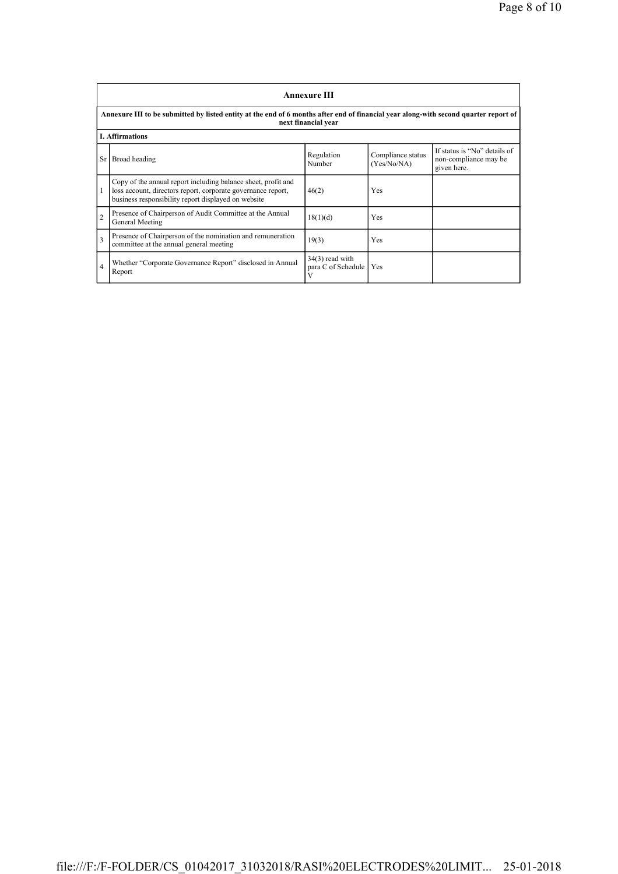|                | <b>Annexure III</b>                                                                                                                                                                  |                                         |                                  |                                                                      |  |
|----------------|--------------------------------------------------------------------------------------------------------------------------------------------------------------------------------------|-----------------------------------------|----------------------------------|----------------------------------------------------------------------|--|
|                | Annexure III to be submitted by listed entity at the end of 6 months after end of financial year along-with second quarter report of<br>next financial year                          |                                         |                                  |                                                                      |  |
|                | <b>I. Affirmations</b>                                                                                                                                                               |                                         |                                  |                                                                      |  |
| <b>Sr</b>      | Broad heading                                                                                                                                                                        | Regulation<br>Number                    | Compliance status<br>(Yes/No/NA) | If status is "No" details of<br>non-compliance may be<br>given here. |  |
|                | Copy of the annual report including balance sheet, profit and<br>loss account, directors report, corporate governance report,<br>business responsibility report displayed on website | 46(2)                                   | Yes                              |                                                                      |  |
| $\overline{2}$ | Presence of Chairperson of Audit Committee at the Annual<br>General Meeting                                                                                                          | 18(1)(d)                                | Yes                              |                                                                      |  |
| 3              | Presence of Chairperson of the nomination and remuneration<br>committee at the annual general meeting                                                                                | 19(3)                                   | Yes                              |                                                                      |  |
| $\overline{4}$ | Whether "Corporate Governance Report" disclosed in Annual<br>Report                                                                                                                  | $34(3)$ read with<br>para C of Schedule | Yes                              |                                                                      |  |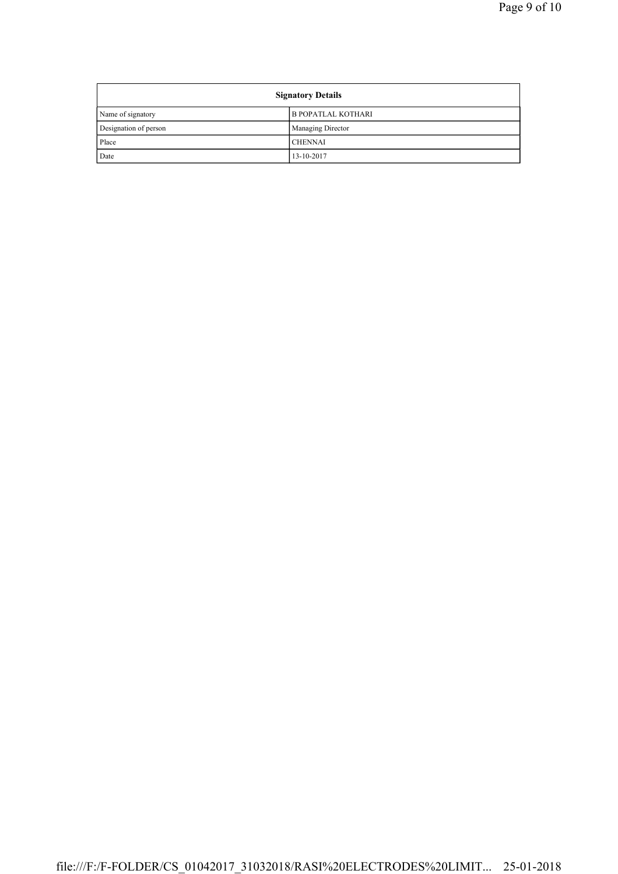| <b>Signatory Details</b> |                           |
|--------------------------|---------------------------|
| Name of signatory        | <b>B POPATLAL KOTHARI</b> |
| Designation of person    | <b>Managing Director</b>  |
| Place                    | <b>CHENNAI</b>            |
| Date                     | 13-10-2017                |